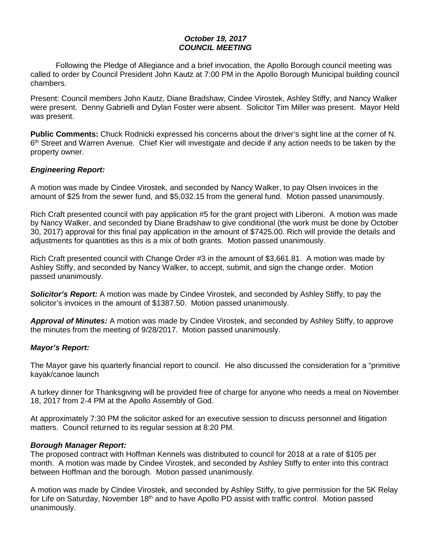## *October 19, 2017 COUNCIL MEETING*

Following the Pledge of Allegiance and a brief invocation, the Apollo Borough council meeting was called to order by Council President John Kautz at 7:00 PM in the Apollo Borough Municipal building council chambers.

Present: Council members John Kautz, Diane Bradshaw, Cindee Virostek, Ashley Stiffy, and Nancy Walker were present. Denny Gabrielli and Dylan Foster were absent. Solicitor Tim Miller was present. Mayor Held was present.

**Public Comments:** Chuck Rodnicki expressed his concerns about the driver's sight line at the corner of N. 6th Street and Warren Avenue. Chief Kier will investigate and decide if any action needs to be taken by the property owner.

## *Engineering Report:*

A motion was made by Cindee Virostek, and seconded by Nancy Walker, to pay Olsen invoices in the amount of \$25 from the sewer fund, and \$5,032.15 from the general fund. Motion passed unanimously.

Rich Craft presented council with pay application #5 for the grant project with Liberoni. A motion was made by Nancy Walker, and seconded by Diane Bradshaw to give conditional (the work must be done by October 30, 2017) approval for this final pay application in the amount of \$7425.00. Rich will provide the details and adjustments for quantities as this is a mix of both grants. Motion passed unanimously.

Rich Craft presented council with Change Order #3 in the amount of \$3,661.81. A motion was made by Ashley Stiffy, and seconded by Nancy Walker, to accept, submit, and sign the change order. Motion passed unanimously.

*Solicitor's Report:* A motion was made by Cindee Virostek, and seconded by Ashley Stiffy, to pay the solicitor's invoices in the amount of \$1387.50. Motion passed unanimously.

*Approval of Minutes:* A motion was made by Cindee Virostek, and seconded by Ashley Stiffy, to approve the minutes from the meeting of 9/28/2017. Motion passed unanimously.

## *Mayor's Report:*

The Mayor gave his quarterly financial report to council. He also discussed the consideration for a "primitive kayak/canoe launch

A turkey dinner for Thanksgiving will be provided free of charge for anyone who needs a meal on November 18, 2017 from 2-4 PM at the Apollo Assembly of God.

At approximately 7:30 PM the solicitor asked for an executive session to discuss personnel and litigation matters. Council returned to its regular session at 8:20 PM.

### *Borough Manager Report:*

The proposed contract with Hoffman Kennels was distributed to council for 2018 at a rate of \$105 per month. A motion was made by Cindee Virostek, and seconded by Ashley Stiffy to enter into this contract between Hoffman and the borough. Motion passed unanimously.

A motion was made by Cindee Virostek, and seconded by Ashley Stiffy, to give permission for the 5K Relay for Life on Saturday, November 18<sup>th</sup> and to have Apollo PD assist with traffic control. Motion passed unanimously.